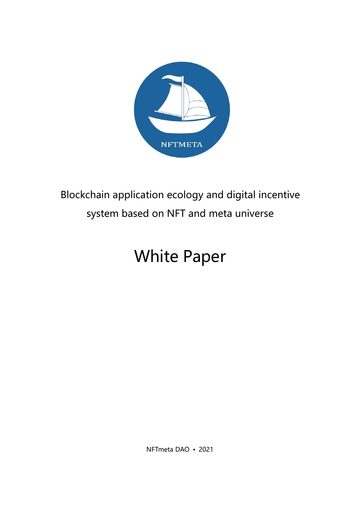

## Blockchain application ecology and digital incentive system based on NFT and meta universe

# White Paper

NFTmeta DAO • 2021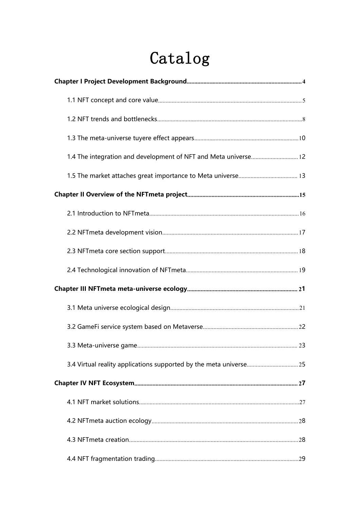# Catalog

| 1.4 The integration and development of NFT and Meta universe 12 |  |
|-----------------------------------------------------------------|--|
|                                                                 |  |
|                                                                 |  |
|                                                                 |  |
|                                                                 |  |
|                                                                 |  |
|                                                                 |  |
|                                                                 |  |
|                                                                 |  |
|                                                                 |  |
|                                                                 |  |
|                                                                 |  |
|                                                                 |  |
|                                                                 |  |
|                                                                 |  |
|                                                                 |  |
|                                                                 |  |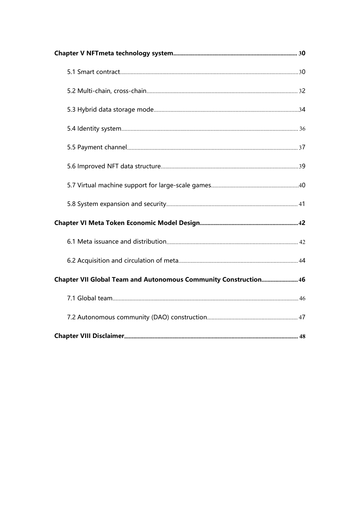| Chapter VII Global Team and Autonomous Community Construction 46 |  |
|------------------------------------------------------------------|--|
|                                                                  |  |
|                                                                  |  |
|                                                                  |  |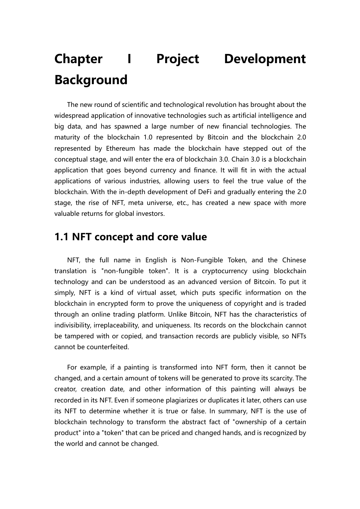# **Chapter I Project Development Background**

The new round of scientific and technological revolution has brought about the widespread application of innovative technologies such as artificial intelligence and big data, and has spawned a large number of new financial technologies. The maturity of the blockchain 1.0 represented by Bitcoin and the blockchain 2.0 represented by Ethereum has made the blockchain have stepped out of the conceptual stage, and will enter the era of blockchain 3.0. Chain 3.0 is a blockchain application that goes beyond currency and finance. It will fit in with the actual applications of various industries, allowing users to feel the true value of the blockchain. With the in-depth development of DeFi and gradually entering the 2.0 stage, the rise of NFT, meta universe, etc., has created a new space with more valuable returns for global investors.

#### **1.1 NFT concept and core value**

NFT, the full name in English is Non-Fungible Token, and the Chinese translation is "non-fungible token". It is a cryptocurrency using blockchain technology and can be understood as an advanced version of Bitcoin. To put it simply, NFT is a kind of virtual asset, which puts specific information on the blockchain in encrypted form to prove the uniqueness of copyright and is traded through an online trading platform. Unlike Bitcoin, NFT has the characteristics of indivisibility, irreplaceability, and uniqueness. Its records on the blockchain cannot be tampered with or copied, and transaction records are publicly visible, so NFTs cannot be counterfeited.

For example, if a painting is transformed into NFT form, then it cannot be changed, and a certain amount of tokens will be generated to prove its scarcity. The creator, creation date, and other information of this painting will always be recorded in its NFT. Even if someone plagiarizes or duplicates it later, others can use its NFT to determine whether it is true or false. In summary, NFT is the use of blockchain technology to transform the abstract fact of "ownership of a certain product" into a "token" that can be priced and changed hands, and is recognized by the world and cannot be changed.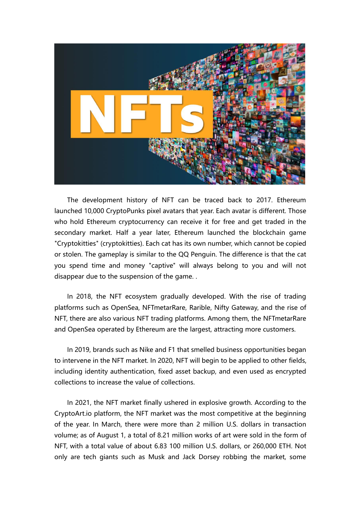

The development history of NFT can be traced back to 2017. Ethereum launched 10,000 CryptoPunks pixel avatars that year. Each avatar is different. Those who hold Ethereum cryptocurrency can receive it for free and get traded in the secondary market. Half a year later, Ethereum launched the blockchain game "Cryptokitties" (cryptokitties). Each cat has its own number, which cannot be copied or stolen. The gameplay is similar to the QQ Penguin. The difference is that the cat you spend time and money "captive" will always belong to you and will not disappear due to the suspension of the game. .

In 2018, the NFT ecosystem gradually developed. With the rise of trading platforms such as OpenSea, NFTmetarRare, Rarible, Nifty Gateway, and the rise of NFT, there are also various NFT trading platforms. Among them, the NFTmetarRare and OpenSea operated by Ethereum are the largest, attracting more customers.

In 2019, brands such as Nike and F1 that smelled business opportunities began to intervene in the NFT market. In 2020, NFT will begin to be applied to other fields, including identity authentication, fixed asset backup, and even used as encrypted collections to increase the value of collections.

In 2021, the NFT market finally ushered in explosive growth. According to the CryptoArt.io platform, the NFT market was the most competitive at the beginning of the year. In March, there were more than 2 million U.S. dollars in transaction volume; as of August 1, a total of 8.21 million works of art were sold in the form of NFT, with a total value of about 6.83 100 million U.S. dollars, or 260,000 ETH. Not only are tech giants such as Musk and Jack Dorsey robbing the market, some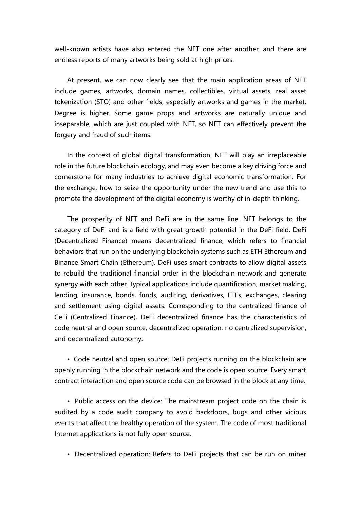well-known artists have also entered the NFT one after another, and there are endless reports of many artworks being sold at high prices.

At present, we can now clearly see that the main application areas of NFT include games, artworks, domain names, collectibles, virtual assets, real asset tokenization (STO) and other fields, especially artworks and games in the market. Degree is higher. Some game props and artworks are naturally unique and inseparable, which are just coupled with NFT, so NFT can effectively prevent the forgery and fraud of such items.

In the context of global digital transformation, NFT will play an irreplaceable role in the future blockchain ecology, and may even become a key driving force and cornerstone for many industries to achieve digital economic transformation. For the exchange, how to seize the opportunity under the new trend and use this to promote the development of the digital economy is worthy of in-depth thinking.

The prosperity of NFT and DeFi are in the same line. NFT belongs to the category of DeFi and is a field with great growth potential in the DeFi field. DeFi (Decentralized Finance) means decentralized finance, which refers to financial behaviors that run on the underlying blockchain systems such as ETH Ethereum and Binance Smart Chain (Ethereum). DeFi uses smart contracts to allow digital assets to rebuild the traditional financial order in the blockchain network and generate synergy with each other. Typical applications include quantification, market making, lending, insurance, bonds, funds, auditing, derivatives, ETFs, exchanges, clearing and settlement using digital assets. Corresponding to the centralized finance of CeFi (Centralized Finance), DeFi decentralized finance has the characteristics of code neutral and open source, decentralized operation, no centralized supervision, and decentralized autonomy:

• Code neutral and open source: DeFi projects running on the blockchain are openly running in the blockchain network and the code is open source. Every smart contract interaction and open source code can be browsed in the block at any time.

• Public access on the device: The mainstream project code on the chain is audited by a code audit company to avoid backdoors, bugs and other vicious events that affect the healthy operation of the system. The code of most traditional Internet applications is not fully open source.

• Decentralized operation: Refers to DeFi projects that can be run on miner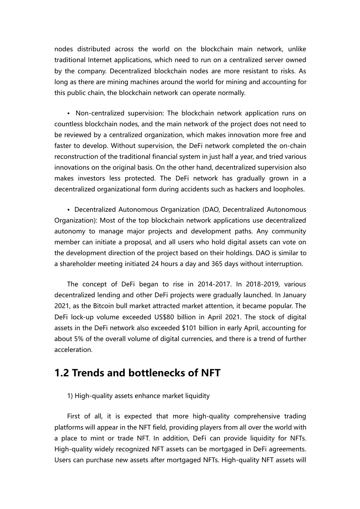nodes distributed across the world on the blockchain main network, unlike traditional Internet applications, which need to run on a centralized server owned by the company. Decentralized blockchain nodes are more resistant to risks. As long as there are mining machines around the world for mining and accounting for this public chain, the blockchain network can operate normally.

• Non-centralized supervision: The blockchain network application runs on countless blockchain nodes, and the main network of the project does not need to be reviewed by a centralized organization, which makes innovation more free and faster to develop. Without supervision, the DeFi network completed the on-chain reconstruction of the traditional financial system in just half a year, and tried various innovations on the original basis. On the other hand, decentralized supervision also makes investors less protected. The DeFi network has gradually grown in a decentralized organizational form during accidents such as hackers and loopholes.

• Decentralized Autonomous Organization (DAO, Decentralized Autonomous Organization): Most of the top blockchain network applications use decentralized autonomy to manage major projects and development paths. Any community member can initiate a proposal, and all users who hold digital assets can vote on the development direction of the project based on their holdings. DAO is similar to a shareholder meeting initiated 24 hours a day and 365 days without interruption.

The concept of DeFi began to rise in 2014-2017. In 2018-2019, various decentralized lending and other DeFi projects were gradually launched. In January 2021, as the Bitcoin bull market attracted market attention, it became popular. The DeFi lock-up volume exceeded US\$80 billion in April 2021. The stock of digital assets in the DeFi network also exceeded \$101 billion in early April, accounting for about 5% of the overall volume of digital currencies, and there is a trend of further acceleration.

### **1.2 Trends and bottlenecks of NFT**

1) High-quality assets enhance market liquidity

First of all, it is expected that more high-quality comprehensive trading platforms will appear in the NFT field, providing players from all over the world with a place to mint or trade NFT. In addition, DeFi can provide liquidity for NFTs. High-quality widely recognized NFT assets can be mortgaged in DeFi agreements. Users can purchase new assets after mortgaged NFTs. High-quality NFT assets will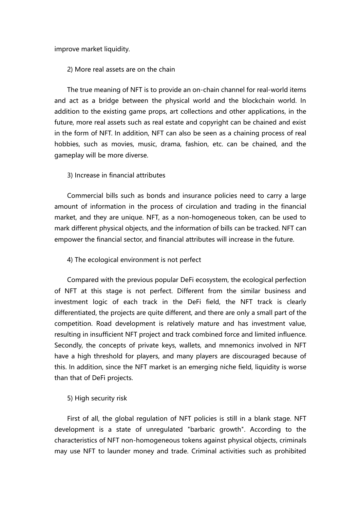improve market liquidity.

2) More real assets are on the chain

The true meaning of NFT is to provide an on-chain channel for real-world items and act as a bridge between the physical world and the blockchain world. In addition to the existing game props, art collections and other applications, in the future, more real assets such as real estate and copyright can be chained and exist in the form of NFT. In addition, NFT can also be seen as a chaining process of real hobbies, such as movies, music, drama, fashion, etc. can be chained, and the gameplay will be more diverse.

#### 3) Increase in financial attributes

Commercial bills such as bonds and insurance policies need to carry a large amount of information in the process of circulation and trading in the financial market, and they are unique. NFT, as a non-homogeneous token, can be used to mark different physical objects, and the information of bills can be tracked. NFT can empower the financial sector, and financial attributes will increase in the future.

#### 4) The ecological environment is not perfect

Compared with the previous popular DeFi ecosystem, the ecological perfection of NFT at this stage is not perfect. Different from the similar business and investment logic of each track in the DeFi field, the NFT track is clearly differentiated, the projects are quite different, and there are only a small part of the competition. Road development is relatively mature and has investment value, resulting in insufficient NFT project and track combined force and limited influence. Secondly, the concepts of private keys, wallets, and mnemonics involved in NFT have a high threshold for players, and many players are discouraged because of this. In addition, since the NFT market is an emerging niche field, liquidity is worse than that of DeFi projects.

#### 5) High security risk

First of all, the global regulation of NFT policies is still in a blank stage. NFT development is a state of unregulated "barbaric growth". According to the characteristics of NFT non-homogeneous tokens against physical objects, criminals may use NFT to launder money and trade. Criminal activities such as prohibited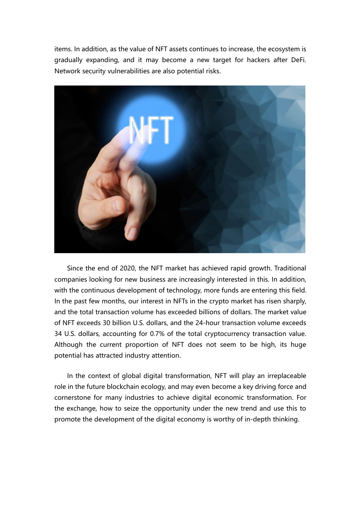items. In addition, as the value of NFT assets continues to increase, the ecosystem is gradually expanding, and it may become a new target for hackers after DeFi. Network security vulnerabilities are also potential risks.



Since the end of 2020, the NFT market has achieved rapid growth. Traditional companies looking for new business are increasingly interested in this. In addition, with the continuous development of technology, more funds are entering this field. In the past few months, our interest in NFTs in the crypto market has risen sharply, and the total transaction volume has exceeded billions of dollars. The market value of NFT exceeds 30 billion U.S. dollars, and the 24-hour transaction volume exceeds 34 U.S. dollars, accounting for 0.7% of the total cryptocurrency transaction value. Although the current proportion of NFT does not seem to be high, its huge potential has attracted industry attention.

In the context of global digital transformation, NFT will play an irreplaceable role in the future blockchain ecology, and may even become a key driving force and cornerstone for many industries to achieve digital economic transformation. For the exchange, how to seize the opportunity under the new trend and use this to promote the development of the digital economy is worthy of in-depth thinking.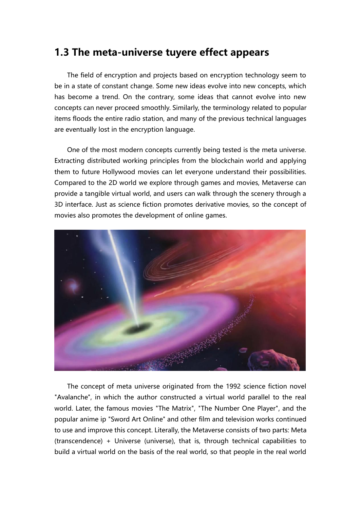### **1.3 The meta-universe tuyere effectappears**

The field of encryption and projects based on encryption technology seem to be in a state of constant change. Some new ideas evolve into new concepts, which has become a trend. On the contrary, some ideas that cannot evolve into new concepts can never proceed smoothly. Similarly, the terminology related to popular items floods the entire radio station, and many of the previous technical languages are eventually lost in the encryption language.

One of the most modern concepts currently being tested is the meta universe. Extracting distributed working principles from the blockchain world and applying them to future Hollywood movies can let everyone understand their possibilities. Compared to the 2D world we explore through games and movies, Metaverse can provide a tangible virtual world, and users can walk through the scenery through a 3D interface. Just as science fiction promotes derivative movies, so the concept of movies also promotes the development of online games.



The concept of meta universe originated from the 1992 science fiction novel "Avalanche", in which the author constructed a virtual world parallel to the real world. Later, the famous movies "The Matrix", "The Number One Player", and the popular anime ip "Sword Art Online" and other film and television works continued to use and improve this concept. Literally, the Metaverse consists of two parts: Meta (transcendence) + Universe (universe), that is, through technical capabilities to build a virtual world on the basis of the real world, so that people in the real world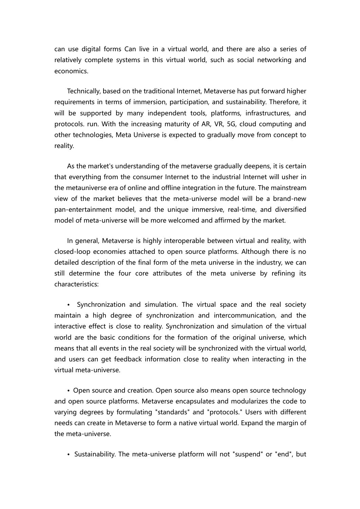can use digital forms Can live in a virtual world, and there are also a series of relatively complete systems in this virtual world, such as social networking and economics.

Technically, based on the traditional Internet, Metaverse has put forward higher requirements in terms of immersion, participation, and sustainability. Therefore, it will be supported by many independent tools, platforms, infrastructures, and protocols. run. With the increasing maturity of AR,VR, 5G, cloud computing and other technologies, Meta Universe is expected to gradually move from concept to reality.

As the market's understanding of the metaverse gradually deepens, it is certain that everything from the consumer Internet to the industrial Internet willusher in the metauniverse era of online and offline integration in the future. The mainstream view of the market believes that the meta-universe model will be a brand-new pan-entertainment model, and the unique immersive, real-time, and diversified model of meta-universe will be more welcomed and affirmed by the market.

In general, Metaverse is highly interoperable between virtual and reality, with closed-loop economies attached to open source platforms. Although there is no detailed description of the final form of the meta universe in the industry, we can still determine the four core attributes of the meta universe by refining its characteristics:

• Synchronization and simulation. The virtual space and the real society maintain ahigh degree of synchronization and intercommunication, and the interactive effect is close to reality. Synchronization and simulation of the virtual world are the basic conditions for the formation of the original universe, which means that all events in the real society will be synchronized with the virtual world, and users can get feedback information close to reality when interacting in the virtual meta-universe.

• Open source and creation. Open source also means open source technology and open source platforms. Metaverse encapsulates and modularizes the code to varying degrees by formulating "standards" and "protocols." Users with different needs can create in Metaverse to form a native virtual world. Expand the margin of the meta-universe.

• Sustainability. The meta-universe platform will not "suspend" or "end", but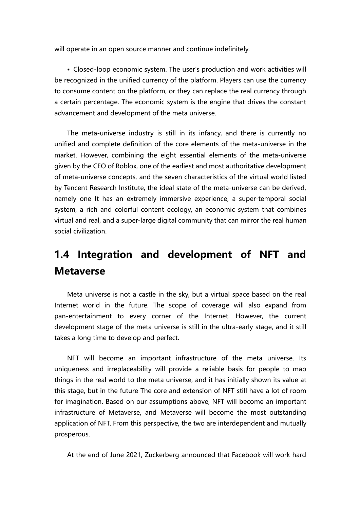will operate in an open source manner and continue indefinitely.

• Closed-loop economic system. The user's production and work activities will be recognized in the unified currency of the platform. Players can use the currency to consume content on the platform, or they can replace the real currency through a certain percentage. The economic system is the engine that drives the constant advancement and development of the meta universe.

The meta-universe industry is still in its infancy, and there is currently no unified and complete definition of the core elements of the meta-universe in the market. However, combining the eight essential elements of the meta-universe given by the CEO of Roblox, one of the earliestand most authoritative development of meta-universe concepts, and the seven characteristics of the virtual world listed by Tencent Research Institute, the ideal state of the meta-universe can be derived, namely one It has an extremely immersive experience, a super-temporal social system, a rich and colorful content ecology, an economic system that combines virtual and real, and a super-large digital community that can mirror the real human social civilization.

### **1.4 Integration and development of NFT and Metaverse**

Meta universe is not a castle in the sky, but a virtual space based on the real Internet world in the future. The scope of coverage will also expand from pan-entertainment to every corner of the Internet. However, the current development stage of the meta universe is still in the ultra-early stage, and it still takes a long time to develop and perfect.

NFT will become an important infrastructure of the meta universe. Its uniqueness and irreplaceability will provide a reliable basis for people to map things in the real world to the meta universe, and it has initially shown its value at this stage, but in the future The core and extension of NFT still have a lot of room for imagination. Based on our assumptions above, NFT will become an important infrastructure of Metaverse, and Metaverse will become the most outstanding application of NFT. From this perspective, the two are interdependent and mutually prosperous.

At the end of June 2021, Zuckerberg announced that Facebook will work hard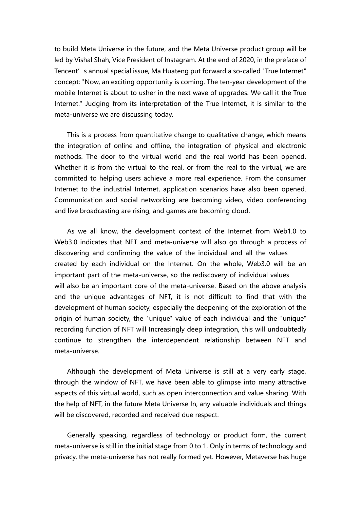to build Meta Universe in the future, and the Meta Universe product group will be led by Vishal Shah, Vice President of Instagram. At the end of 2020, in the preface of Tencent's annual special issue, Ma Huateng put forward a so-called "True Internet" concept: "Now, an exciting opportunity is coming. The ten-year development of the mobile Internet is about to usher in the next wave of upgrades. We call it the True Internet." Judging from its interpretation of the True Internet, it is similar to the meta-universe we are discussing today.

This is a process from quantitative change to qualitative change, which means the integration of online and offline, the integration of physical and electronic methods. The door to the virtual world and the real world has been opened. Whether it is from the virtual to the real, or from the real to the virtual, we are committed to helping users achieve a more real experience. From the consumer Internet to the industrial Internet, application scenarios have also been opened. Communication and social networking are becoming video, video conferencing and live broadcasting are rising, and games are becoming cloud.

As we all know, the development context of the Internet from Web1.0 to Web3.0 indicates that NFT and meta-universe will also go through a process of discovering and confirming the value of the individual and all the values created by each individual on the Internet. On the whole, Web3.0 will be an important part of the meta-universe, so the rediscovery of individual values will also be an important core of the meta-universe. Based on the above analysis and the unique advantages of NFT, it is not difficult to find that with the development of human society, especially the deepening of the exploration of the origin of human society, the "unique" value of each individual and the "unique" recording function of NFT will Increasingly deep integration, this will undoubtedly continue to strengthen the interdependent relationship between NFT and meta-universe.

Although the development of Meta Universe is still at a very early stage, through the window of NFT, we have been able to glimpse into many attractive aspects of this virtual world, such as open interconnection and value sharing. With the help of NFT, in the future Meta Universe In, any valuable individuals and things will be discovered, recorded and received due respect.

Generally speaking, regardless of technology or product form, the current meta-universe is still in the initial stage from 0 to 1. Only in terms of technology and privacy, the meta-universe has not really formed yet. However, Metaverse has huge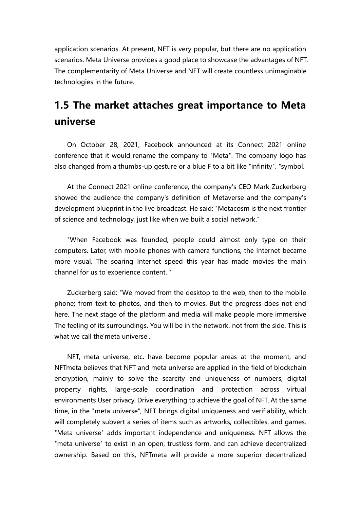application scenarios. At present, NFT is very popular, but there are no application scenarios. Meta Universe provides a good place to showcase the advantages of NFT. The complementarity of Meta Universe and NFT will create countless unimaginable technologies in the future.

## **1.5 The market attaches great importance to Meta universe**

On October 28, 2021, Facebook announced at its Connect 2021 online conference that it would rename the company to "Meta". The company logo has also changed from a thumbs-up gesture or a blue F to a bit like "infinity". "symbol.

At the Connect 2021 online conference, the company's CEO Mark Zuckerberg showed the audience the company's definition of Metaverse and the company's development blueprint in the live broadcast. He said: "Metacosm is the next frontier of science and technology, just like when we built a social network."

"When Facebook was founded, people could almost only type on their computers. Later, with mobile phones with camera functions, the Internet became more visual. The soaring Internet speed this year has made movies the main channel for us to experience content. "

Zuckerberg said: "We moved from the desktop to the web, then to the mobile phone; from text to photos, and then to movies. But the progress does not end here. The next stage of the platform and media will make people more immersive The feeling of its surroundings. You will be in the network, not from the side. This is what we call the meta universe'."

NFT, meta universe, etc. have become popular areas at the moment, and NFTmeta believes that NFT and meta universe are applied in the field of blockchain encryption, mainly to solve the scarcity and uniqueness of numbers, digital property rights, large-scale coordination and protection across virtual environments User privacy. Drive everything to achieve the goal of NFT. At the same time, in the "meta universe", NFT brings digital uniqueness and verifiability, which will completely subvert a series of items such as artworks, collectibles, and games. "Meta universe" adds important independence and uniqueness. NFT allows the "meta universe" to exist in an open, trustless form, and can achieve decentralized ownership. Based on this, NFTmeta will provide a more superior decentralized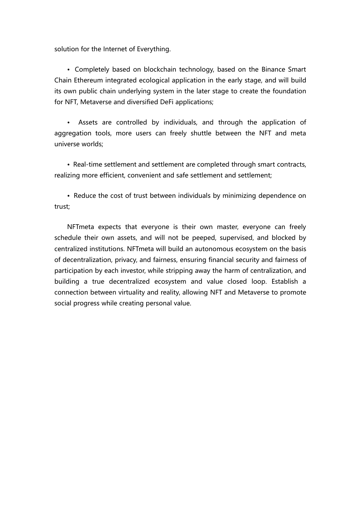solution for the Internet of Everything.

• Completely based on blockchain technology, based on the Binance Smart Chain Ethereum integrated ecological application in the early stage, and will build its own public chain underlying system in the later stage to create the foundation for NFT, Metaverse and diversified DeFi applications;

Assets are controlled by individuals, and through the application of aggregation tools, more users can freely shuttle between the NFT and meta universe worlds;

• Real-time settlement and settlement are completed through smart contracts, realizing more efficient, convenient and safe settlement and settlement;

• Reduce the cost of trust between individuals by minimizing dependence on trust;

<span id="page-14-0"></span>NFTmeta expects that everyone is their own master, everyone can freely schedule their own assets, and will not be peeped, supervised, and blocked by centralized institutions. NFTmeta will build an autonomous ecosystem on the basis of decentralization, privacy, and fairness, ensuring financial security and fairness of participation by each investor, while stripping away the harm of centralization, and building a true decentralized ecosystem and value closed loop. Establish a connection between virtuality and reality, allowing NFT and Metaverse to promote social progress while creating personal value.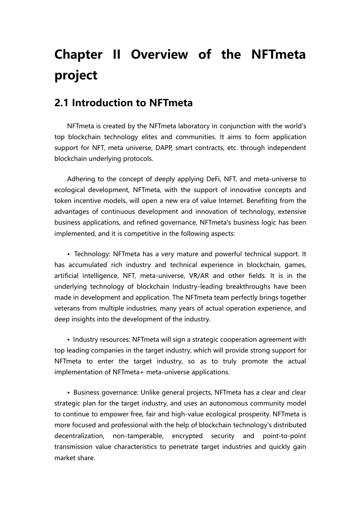# **Chapter II Overview of the NFTmeta project**

#### <span id="page-15-0"></span>**2.1 Introduction to NFTmeta**

NFTmeta is created by the NFTmeta laboratory in conjunction with the world's top blockchain technology elites and communities. It aims to form application support for NFT, meta universe, DAPP, smart contracts, etc. through independent blockchain underlying protocols.

Adhering to the concept of deeply applying DeFi, NFT, and meta-universe to ecological development, NFTmeta, with the support of innovative concepts and token incentive models, will open a new era of value Internet. Benefiting from the advantages of continuous development and innovation of technology, extensive business applications, and refined governance, NFTmeta's business logic has been implemented, and it is competitive in the following aspects:

• Technology: NFTmeta has a very mature and powerful technical support. It has accumulated rich industry and technical experience in blockchain, games, artificial intelligence, NFT, meta-universe, VR/AR and other fields. It is in the underlying technology of blockchain Industry-leading breakthroughs have been made in development and application. The NFTmeta team perfectly brings together veterans from multiple industries, many years of actual operation experience, and deep insights into the development of the industry.

• Industry resources: NFTmeta will sign a strategic cooperation agreement with top leading companies in the target industry, which will provide strong support for NFTmeta to enter the target industry, so as to truly promote the actual implementation of NFTmeta+ meta-universe applications.

• Business governance: Unlike general projects, NFTmeta has a clear and clear strategic plan for the target industry, and uses an autonomous community model to continue to empower free, fair and high-value ecological prosperity. NFTmeta is more focused and professional with the help of blockchain technology's distributed decentralization, non-tamperable, encrypted security and point-to-point transmission value characteristics to penetrate target industries and quickly gain market share.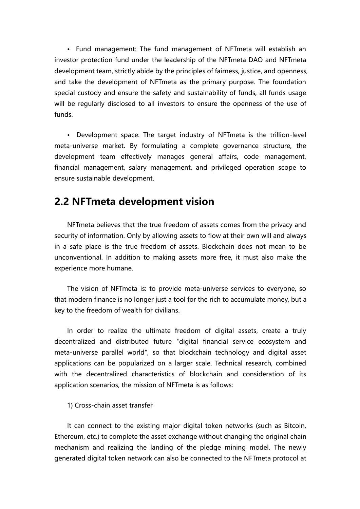• Fund management: The fund management of NFTmeta will establish an investor protection fund under the leadership of the NFTmeta DAO and NFTmeta development team, strictly abide by the principles of fairness, justice, and openness, and take the development of NFTmeta as the primary purpose. The foundation special custody and ensure the safety and sustainability of funds, all funds usage will be regularly disclosed to all investors to ensure the openness of the use of funds.

• Development space: The target industry of NFTmeta is the trillion-level meta-universe market. By formulating a complete governance structure, the development team effectively manages general affairs, code management, financial management, salary management, and privileged operation scope to ensure sustainable development.

#### **2.2 NFTmeta development vision**

NFTmeta believes that the true freedom of assets comes from the privacy and security of information. Only by allowing assets to flow at their own will and always in a safe place is the true freedom of assets. Blockchain does not mean to be unconventional. In addition to making assets more free, it must also make the experience more humane.

The vision of NFTmeta is: to provide meta-universe services to everyone, so that modern finance is no longer just a tool for the rich to accumulate money, but a key to the freedom of wealth for civilians.

In order to realize the ultimate freedom of digital assets, create a truly decentralized and distributed future "digital financial service ecosystem and meta-universe parallel world", so that blockchain technology and digital asset applications can be popularized on a larger scale. Technical research, combined with the decentralized characteristics of blockchain and consideration of its application scenarios, the mission of NFTmeta is as follows:

1) Cross-chain asset transfer

It can connect to the existing major digital token networks (such as Bitcoin, Ethereum, etc.) to complete the asset exchange without changing the original chain mechanism and realizing the landing of the pledge mining model. The newly generated digital token network can also be connected to the NFTmeta protocol at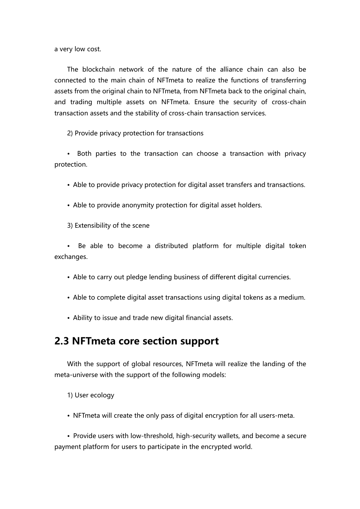a very low cost.

The blockchain network of the nature of the alliance chain can also be connected to the main chain of NFTmeta to realize the functions of transferring assets from the original chain to NFTmeta, from NFTmeta back to the original chain, and trading multiple assets on NFTmeta. Ensure the security of cross-chain transaction assets and the stability of cross-chain transaction services.

2) Provide privacy protection for transactions

• Both parties to the transaction can choose a transaction with privacy protection.

• Able to provide privacy protection for digital asset transfers and transactions.

• Able to provide anonymity protection for digital asset holders.

3) Extensibility of the scene

• Be able to become a distributed platform for multiple digital token exchanges.

• Able to carry out pledge lending business of different digital currencies.

- Able to complete digital asset transactions using digital tokens as a medium.
- Ability to issue and trade new digital financial assets.

#### **2.3 NFTmeta core section support**

With the support of global resources, NFTmeta will realize the landing of the meta-universe with the support of the following models:

1) User ecology

• NFTmeta will create the only pass of digital encryption for all users-meta.

• Provide users with low-threshold, high-security wallets, and become a secure payment platform for users to participate in the encrypted world.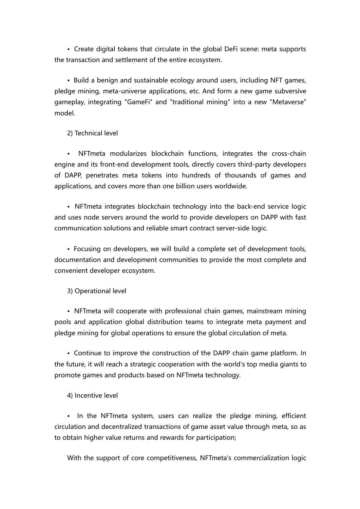• Create digital tokens that circulate in the global DeFi scene: meta supports the transaction and settlement of the entire ecosystem.

• Build a benign and sustainable ecology around users, including NFT games, pledge mining, meta-universe applications, etc. And form a new game subversive gameplay, integrating "GameFi" and "traditional mining" into a new "Metaverse" model.

2) Technical level

• NFTmeta modularizes blockchain functions, integrates the cross-chain engine and its front-end development tools, directly covers third-party developers of DAPP, penetrates meta tokens into hundreds of thousands of games and applications, and covers more than one billion users worldwide.

• NFTmeta integrates blockchain technology into the back-end service logic and uses node servers around the world to provide developers on DAPP with fast communication solutions and reliable smart contract server-side logic.

• Focusing on developers, we will build a complete set of development tools, documentation and development communities to provide the most complete and convenient developer ecosystem.

3) Operational level

• NFTmeta will cooperate with professional chain games, mainstream mining pools and application global distribution teams to integrate meta payment and pledge mining for global operations to ensure the global circulation of meta.

• Continue to improve the construction of the DAPP chain game platform. In the future, it will reach a strategic cooperation with the world's top media giants to promote games and products based on NFTmeta technology.<br>4) Incentive level

• In the NFTmeta system, users can realize the pledge mining, efficient circulation and decentralized transactions of game asset value through meta, so as to obtain higher value returns and rewards for participation;

With the support of core competitiveness, NFTmeta's commercialization logic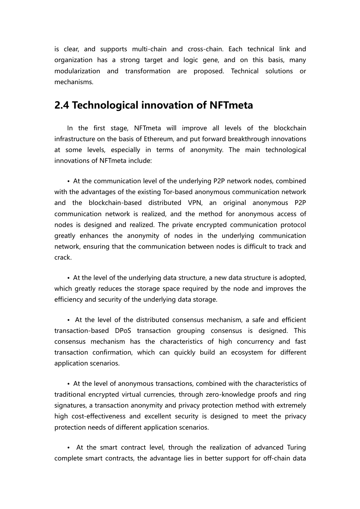is clear, and supports multi-chain and cross-chain. Each technical link and organization has a strong target and logic gene, and on this basis, many modularization and transformation are proposed. Technical solutions or mechanisms.

#### **2.4 Technological innovation of NFTmeta**

In the first stage, NFTmeta will improve all levels of the blockchain infrastructure on the basis of Ethereum, and put forward breakthrough innovations at some levels, especially in terms of anonymity. The main technological innovations of NFTmeta include:

• At the communication level of the underlying P2P network nodes, combined with the advantages of the existing Tor-based anonymous communication network and the blockchain-based distributed VPN, an original anonymous P2P communication network is realized, and the method for anonymous access of nodes is designed and realized. The private encrypted communication protocol greatly enhances the anonymity of nodes in the underlying communication network, ensuring that the communication between nodes is difficult to track and crack.

• At the level of the underlying data structure, a new data structure is adopted, which greatly reduces the storage space required by the node and improves the efficiency and security of the underlying data storage.

• At the level of the distributed consensus mechanism, a safe and efficient transaction-based DPoS transaction grouping consensus is designed. This consensus mechanism has the characteristics of high concurrency and fast transaction confirmation, which can quickly build an ecosystem for different application scenarios.

• At the level of anonymous transactions, combined with the characteristics of traditional encrypted virtual currencies, through zero-knowledge proofs and ring signatures, a transaction anonymity and privacy protection method with extremely high cost-effectiveness and excellent security is designed to meet the privacy protection needs of different application scenarios.

• At the smart contract level, through the realization of advanced Turing complete smart contracts, the advantage lies in better support for off-chain data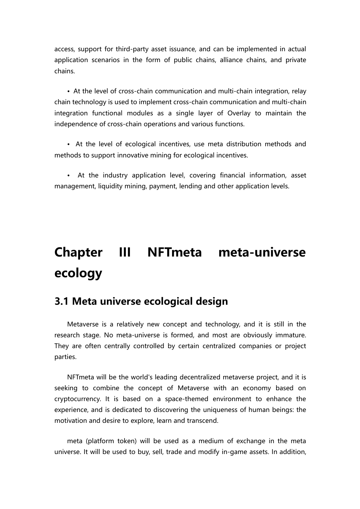access, support for third-party asset issuance, and can be implemented in actual application scenarios in the form of public chains, alliance chains, and private chains.

• At the level of cross-chain communication and multi-chain integration, relay chain technology is used to implement cross-chain communication and multi-chain integration functional modules as a single layer of Overlay to maintain the independence of cross-chain operations and various functions.

• At the level of ecological incentives, use meta distribution methods and methods to support innovative mining for ecological incentives.

• At the industry application level, covering financial information, asset management, liquidity mining, payment, lending and other application levels.

# **Chapter III NFTmeta meta-universe ecology**

### <span id="page-20-0"></span>**3.1 Meta universe ecological design**

Metaverse is a relatively new concept and technology, and it is still in the research stage. No meta-universe is formed, and most are obviously immature. They are often centrally controlled by certain centralized companies or project parties.

NFTmeta will be the world's leading decentralized metaverse project, and it is seeking to combine the concept of Metaverse with an economy based on cryptocurrency. It is based on a space-themed environment to enhance the experience, and is dedicated to discovering the uniqueness of human beings: the motivation and desire to explore, learn and transcend.

meta (platform token) will be used as a medium of exchange in the meta universe. It will be used to buy, sell, trade and modify in-game assets. In addition,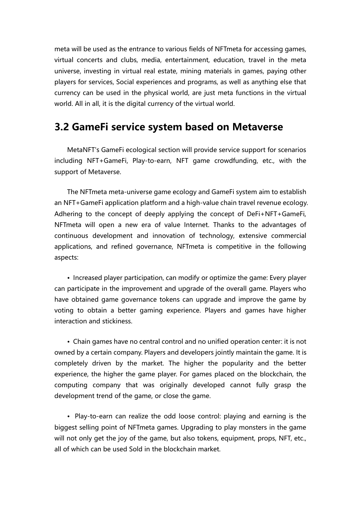meta will be used as the entrance to various fields of NFTmeta for accessing games, virtual concerts and clubs, media, entertainment, education, travel in the meta universe, investing in virtual real estate, mining materials in games, paying other players for services, Social experiences and programs, as well as anything else that currency can be used in the physical world, are just meta functions in the virtual world. All in all, it is the digital currency of the virtual world.

### **3.2 GameFi service system based on Metaverse**

MetaNFT's GameFi ecological section will provide service support for scenarios including NFT+GameFi, Play-to-earn, NFT game crowdfunding, etc., with the support of Metaverse.

The NFTmeta meta-universe game ecology and GameFi system aim to establish an NFT+GameFi application platform and a high-value chain travelrevenue ecology. Adhering to the concept of deeply applying the concept of DeFi+NFT+GameFi, NFTmeta will open a new era of value Internet. Thanks to the advantages of continuous development and innovation of technology, extensive commercial applications, and refined governance, NFTmeta is competitive in the following aspects:

• Increased player participation, can modify or optimize the game: Every player can participate in the improvement and upgrade of the overall game. Players who have obtained game governance tokens can upgrade and improve the game by voting to obtain a better gaming experience. Players and games have higher interaction and stickiness.

• Chain games have no central control and no unified operation center: it is not owned by a certain company. Players and developers jointly maintain the game. It is completely driven by the market. The higher the popularity and the better experience, the higher the game player. For games placed on the blockchain, the computing company that was originally developed cannot fully grasp the development trend of the game, or close the game.

• Play-to-earn can realize the odd loose control: playing and earning is the biggest selling point of NFTmeta games. Upgrading to play monsters in the game will not only get the joy of the game, but also tokens, equipment, props, NFT, etc., all of which can be used Sold in the blockchain market.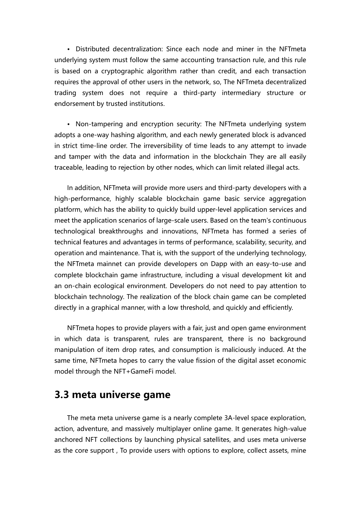• Distributed decentralization: Since each node and miner in the NFTmeta underlying system must follow the same accounting transaction rule, and this rule is based on a cryptographic algorithm rather than credit, and each transaction requires the approval of other users in the network, so, The NFTmeta decentralized trading system does not require a third-party intermediary structure or endorsement by trusted institutions.

• Non-tampering and encryption security: The NFTmeta underlying system adopts a one-way hashing algorithm, and each newly generated block is advanced in strict time-line order. The irreversibility of time leads to any attempt to invade and tamper with the data and information in the blockchain They are all easily traceable, leading to rejection by other nodes, which can limit related illegal acts.

In addition, NFTmeta will provide more users and third-party developers with a high-performance, highly scalable blockchain game basic service aggregation platform, which has the ability to quickly build upper-level application services and meet the application scenarios of large-scale users. Based on the team's continuous technological breakthroughs and innovations, NFTmeta has formed a series of technical features and advantages in terms of performance, scalability, security, and operation and maintenance. That is, with the support of the underlying technology, the NFTmeta mainnet can provide developers on Dapp with an easy-to-use and complete blockchain game infrastructure, including a visual development kit and an on-chain ecological environment. Developers do not need to pay attention to blockchain technology. The realization of the block chain game can be completed directly in a graphical manner, with a low threshold, and quickly and efficiently.

NFTmeta hopes to provide players with a fair, just and open game environment in which data is transparent, rules are transparent, there is no background manipulation of item drop rates, and consumption is maliciously induced. At the same time, NFTmeta hopes to carry the value fission of the digital asset economic model through the NFT+GameFi model.

#### **3.3 meta universe game**

The meta meta universe game is a nearly complete 3A-level space exploration, action, adventure, and massively multiplayer online game. It generates high-value anchored NFT collections by launching physical satellites, and uses meta universe as the core support , To provide users with options to explore, collect assets, mine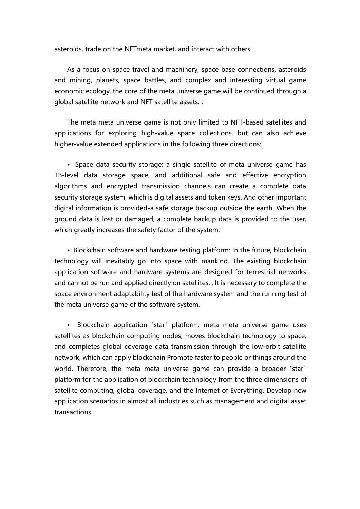asteroids, trade on the NFTmeta market, and interact with others.

As a focus on space travel and machinery, space base connections, asteroids and mining, planets, space battles, and complex and interesting virtual game economic ecology, the core of the meta universe game will be continued through a global satellite network and NFT satellite assets. .

The meta meta universe game is not only limited to NFT-based satellites and applications for exploring high-value space collections, but can also achieve higher-value extended applications in the following three directions:

• Space data security storage: a single satellite of meta universe game has TB-level data storage space, and additional safe and effective encryption algorithms and encrypted transmission channels can create a complete data security storage system, which is digital assets and token keys. And other important digital information is provided-a safe storage backup outside the earth. When the ground data is lost or damaged, a complete backup data is provided to the user, which greatly increases the safety factor of the system.

• Blockchain software and hardware testing platform: In the future, blockchain technology will inevitably go into space with mankind. The existing blockchain application software and hardware systems are designed for terrestrial networks and cannot be run and applied directly on satellites. , It is necessary to complete the space environment adaptability test of the hardware system and the running test of the meta universe game of the software system.

• Blockchain application "star" platform: meta meta universe game uses satellites as blockchain computing nodes, moves blockchain technology to space, and completes global coverage data transmission through the low-orbit satellite network, which can apply blockchain Promote faster to people or things around the world. Therefore, the meta meta universe game can provide a broader "star" platform for the application of blockchain technology from the three dimensions of satellite computing, global coverage, and the Internet of Everything. Develop new application scenarios in almost all industries such as management and digital asset transactions.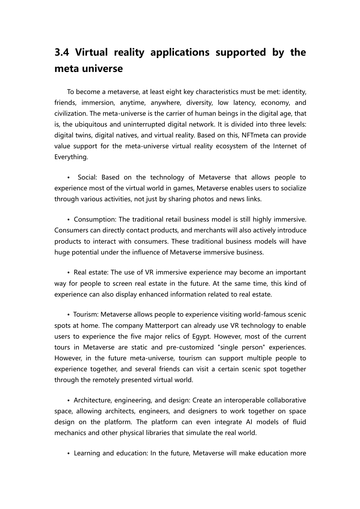## **3.4 Virtual reality applications supported by the meta universe**

To become a metaverse, at least eight key characteristics must be met: identity, friends, immersion, anytime, anywhere, diversity, low latency, economy, and civilization. The meta-universe is the carrier of human beings in the digital age, that is, the ubiquitous and uninterrupted digital network. It is divided into three levels: digital twins, digital natives, and virtual reality. Based on this, NFTmeta can provide value support for the meta-universe virtual reality ecosystem of the Internet of Everything.

• Social: Based on the technology of Metaverse that allows people to experience most of the virtual world in games, Metaverse enables users to socialize through various activities, not just by sharing photos and news links.

• Consumption: The traditional retail business model is still highly immersive. Consumers can directly contact products, and merchants will also actively introduce products to interact with consumers. These traditional business models will have huge potential under the influence of Metaverse immersive business.

• Real estate: The use of VR immersive experience may become an important way for people to screen real estate in the future. At the same time, this kind of experience can also display enhanced information related to real estate.

• Tourism: Metaverse allows people to experience visiting world-famous scenic spots at home. The company Matterport can already use VR technology to enable users to experience the five major relics of Egypt. However, most of the current tours in Metaverse are static and pre-customized "single person" experiences. However, in the future meta-universe, tourism can support multiple people to experience together, and several friends can visit a certain scenic spot together through the remotely presented virtual world.

• Architecture, engineering, and design: Create an interoperable collaborative space, allowing architects, engineers, and designers to work together on space design on the platform. The platform can even integrate AI models of fluid mechanics and other physical libraries that simulate the real world.

• Learning and education: In the future, Metaverse will make education more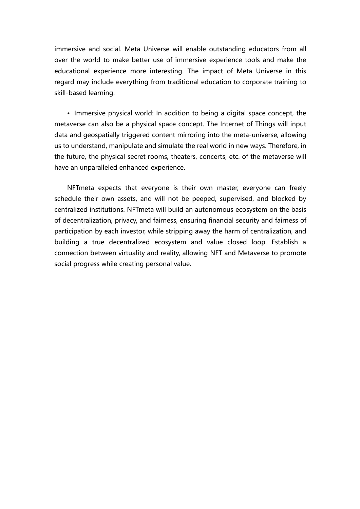immersive and social. Meta Universe will enable outstanding educators from all over the world to make better use of immersive experience tools and make the educational experience more interesting. The impact of Meta Universe in this regard may include everything from traditional education to corporate training to skill-based learning.

• Immersive physical world: In addition to being a digital space concept, the metaverse can also be a physical space concept. The Internet of Things will input data and geospatially triggered content mirroring into the meta-universe, allowing us to understand, manipulate and simulate the real world in new ways. Therefore, in the future, the physical secret rooms, theaters, concerts, etc. of the metaverse will have an unparalleled enhanced experience.

NFTmeta expects that everyone is their own master, everyone can freely schedule their own assets, and will not be peeped, supervised, and blocked by centralized institutions. NFTmeta will build an autonomous ecosystem on the basis of decentralization, privacy, and fairness, ensuring financial security and fairness of participation by each investor, while stripping away the harm of centralization, and building a true decentralized ecosystem and value closed loop. Establish a connection between virtuality and reality, allowing NFT and Metaverse to promote social progress while creating personal value.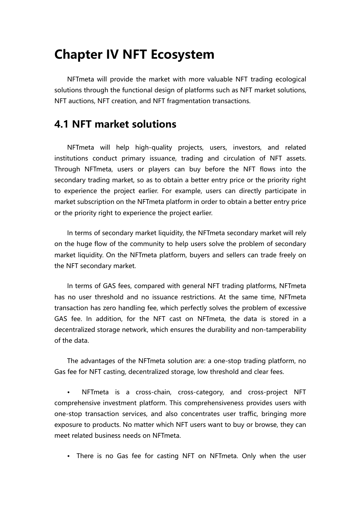## **Chapter IV NFT Ecosystem**

NFTmeta will provide the market with more valuable NFT trading ecological solutions through the functional design of platforms such as NFT market solutions, NFT auctions, NFT creation, and NFT fragmentation transactions.

#### <span id="page-26-0"></span>**4.1 NFT market solutions**

NFTmeta will help high-quality projects, users, investors, and related institutions conduct primary issuance, trading and circulation of NFT assets. Through NFTmeta, users or players can buy before the NFT flows into the secondary trading market, so as to obtain a better entry price or the priority right to experience the project earlier. For example, users can directly participate in market subscription on the NFTmeta platform in order to obtain a betterentry price or the priority right to experience the project earlier.

In terms of secondary market liquidity, the NFTmeta secondary market will rely on the huge flow of the community to help users solve the problem of secondary market liquidity. On the NFTmeta platform, buyers and sellers can trade freely on the NFT secondary market.

In terms of GAS fees, compared with general NFT trading platforms, NFTmeta has no user threshold and no issuance restrictions. At the same time, NFTmeta transaction has zero handling fee, which perfectly solves the problem of excessive GAS fee. In addition, for the NFT cast on NFTmeta, the data is stored in a decentralized storage network, which ensures the durability and non-tamperability of the data.

The advantages of the NFTmeta solution are: a one-stop trading platform, no Gas fee for NFT casting, decentralized storage, low threshold and clear fees.

NFTmeta is a cross-chain, cross-category, and cross-project NFT comprehensive investment platform. This comprehensiveness provides users with one-stop transaction services, and also concentrates user traffic, bringing more exposure to products. No matter which NFT users want to buy or browse, they can meet related business needs on NFTmeta.

• There is no Gas fee for casting NFT on NFTmeta. Only when the user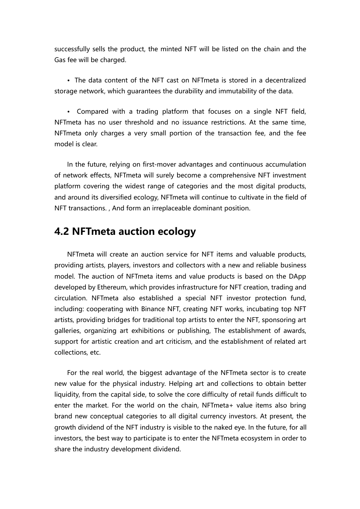successfully sells the product, the minted NFT will be listed on the chain and the Gas fee will be charged.

• The data content of the NFT cast on NFTmeta is stored in a decentralized storage network, which guarantees the durability and immutability of the data.

• Compared with a trading platform that focuses on a single NFT field, NFTmeta has no user threshold and no issuance restrictions. At the same time, NFTmeta only charges a very small portion of the transaction fee, and the fee model is clear.

In the future, relying on first-mover advantages and continuous accumulation of network effects, NFTmeta will surely become a comprehensive NFT investment platform covering the widest range of categories and the most digital products, and around its diversified ecology, NFTmeta will continue to cultivate in the field of NFT transactions., And form an irreplaceable dominant position.

### **4.2 NFTmeta auction ecology**

NFTmeta will create an auction service for NFT items and valuable products, providing artists, players, investors and collectors with a new and reliable business model. The auction of NFTmeta items and value products is based on the DApp developed by Ethereum, which provides infrastructure for NFT creation, trading and circulation. NFTmeta also established a special NFT investor protection fund, including: cooperating with Binance NFT, creating NFT works, incubating top NFT artists, providing bridges for traditional top artists to enter the NFT, sponsoring art galleries, organizing art exhibitions or publishing, The establishment of awards, support for artistic creation and art criticism, and the establishment of related art collections, etc.

For the real world, the biggest advantage of the NFTmeta sector is to create new value for the physical industry. Helping art and collections to obtain better liquidity, from the capital side, to solve the core difficulty of retail funds difficult to enter the market. For the world on the chain, NFTmeta+ value items also bring brand new conceptual categories to all digital currency investors. At present, the growth dividend of the NFT industry is visible to the naked eye. In the future, for all investors, the best way to participate is to enter the NFTmeta ecosystem in order to share the industry development dividend.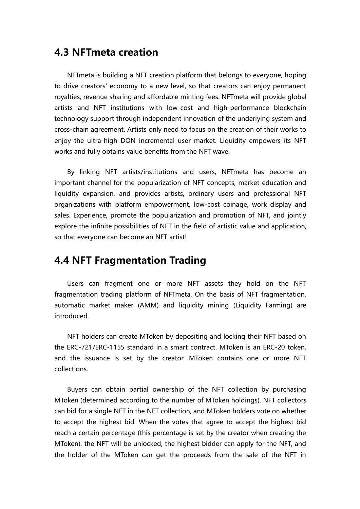#### **4.3 NFTmeta creation**

NFTmeta is building a NFT creation platform that belongs to everyone, hoping to drive creators' economy to a new level, so that creators can enjoy permanent royalties, revenue sharing and affordable minting fees. NFTmeta will provide global artists and NFT institutions with low-cost and high-performance blockchain technology support through independent innovation of the underlying system and cross-chain agreement. Artists only need to focus on the creation of their works to enjoy the ultra-high DON incremental user market. Liquidity empowers its NFT works and fully obtains value benefits from the NFT wave.

By linking NFT artists/institutions and users, NFTmeta has become an important channel for the popularization of NFT concepts, market education and liquidity expansion, and provides artists, ordinary users and professional NFT organizations with platform empowerment, low-cost coinage, work display and sales. Experience, promote the popularization and promotion of NFT, and jointly explore the infinite possibilities of NFT in the field of artistic value and application, so that everyone can become an NFT artist!

#### **4.4 NFT Fragmentation Trading**

Users can fragment one or more NFT assets they hold on the NFT fragmentation trading platform of NFTmeta. On the basis of NFT fragmentation, automatic market maker (AMM) and liquidity mining (Liquidity Farming) are **introduced** 

NFT holders can create MToken by depositing and locking their NFT based on the ERC-721/ERC-1155 standard in a smart contract. MToken is an ERC-20 token, and the issuance is set by the creator. MToken contains one or more NFT collections.

Buyers can obtain partial ownership of the NFT collection by purchasing MToken (determined according to the number of MToken holdings). NFT collectors can bid for a single NFT in the NFT collection, and MToken holders vote on whether to accept the highest bid.When the votes that agree to accept the highest bid reach a certain percentage (this percentage is set by the creator when creating the MToken), the NFT will be unlocked, the highest bidder can apply for the NFT, and the holder of the MToken can get the proceeds from the sale of the NFT in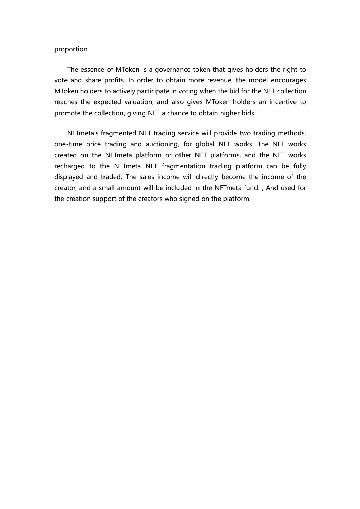proportion .

The essence of MToken is a governance token that gives holders the right to vote and share profits. In order to obtain more revenue, the model encourages MToken holders to actively participate in voting when the bid for the NFT collection reaches the expected valuation, and also gives MToken holders an incentive to promote the collection, giving NFT a chance to obtain higher bids.

NFTmeta's fragmented NFT trading service will provide two trading methods, one-time price trading and auctioning, for global NFT works. The NFT works created on the NFTmeta platform or other NFT platforms, and the NFT works recharged to the NFTmeta NFT fragmentation trading platform can be fully displayed and traded. The sales income will directly become the income of the creator, and a small amount will be included in the NFTmeta fund. , And used for the creation support of the creators who signed on the platform.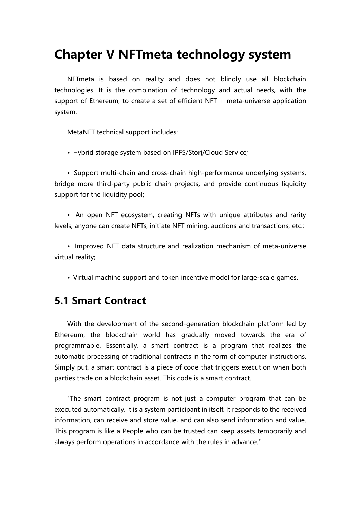## **Chapter V NFTmeta technology system**

NFTmeta is based on reality and does not blindly use all blockchain technologies. It is the combination of technology and actual needs, with the support of Ethereum, to create a set of efficient NFT + meta-universe application system.

MetaNFT technical support includes:

• Hybrid storage system based on IPFS/Storj/Cloud Service;

• Support multi-chain and cross-chain high-performance underlying systems, bridge more third-party public chain projects, and provide continuous liquidity support for the liquidity pool;

• An open NFT ecosystem, creating NFTs with unique attributes and rarity levels, anyone can create NFTs, initiate NFT mining, auctions and transactions, etc.;

• Improved NFT data structure and realization mechanism of meta-universe virtual reality;

• Virtual machine support and token incentive model for large-scale games.

### **5.1 Smart Contract**

With the development of the second-generation blockchain platform led by Ethereum, the blockchain world has gradually moved towards the era of programmable. Essentially, a smart contract is a program that realizes the automatic processing of traditional contracts in the form of computer instructions. Simply put, a smart contract is a piece of code that triggers execution when both parties trade on a blockchain asset. This code is a smart contract.

"The smart contract program is not just a computer program that can be executed automatically. It is a system participant in itself. It responds to the received information, can receive and store value, and can also send information and value. This program is like a People who can be trusted can keep assets temporarily and always perform operations in accordance with the rules in advance."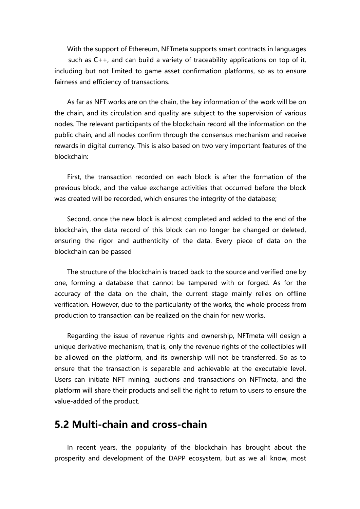With the support of Ethereum, NFTmeta supports smart contracts in languages such as C++, and can build a variety of traceability applications on top of it, including but not limited to game asset confirmation platforms, so as to ensure fairness and efficiency of transactions.

As far as NFT works are on the chain, the key information of the work will be on the chain, and its circulation and quality are subject to the supervision of various nodes. The relevant participants of the blockchain record all the information on the public chain, and all nodes confirm through the consensus mechanism and receive rewards in digital currency. This is also based on two very important features of the blockchain:

First, the transaction recorded on each block is after the formation of the previous block, and the value exchange activities that occurred before the block was created will be recorded, which ensures the integrity of the database;

Second, once the new block is almost completed and added to the end of the blockchain, the data record of this block can no longer be changed or deleted, ensuring the rigor and authenticity of the data. Every piece of data on the blockchain can be passed

The structure of the blockchain is traced back to the source and verified one by one, forming a database that cannot be tampered with or forged. As for the accuracy of the data on the chain, the current stage mainly relies on offline verification. However, due to the particularity of the works, the whole process from production to transaction can be realized on the chain for new works.

Regarding the issue of revenue rights and ownership, NFTmeta will design a unique derivative mechanism, that is, only the revenue rights of the collectibles will be allowed on the platform, and its ownership will not be transferred. So as to ensure that the transaction is separable and achievable at the executable level. Users can initiate NFT mining, auctions and transactions on NFTmeta, and the platform will share their products and sell the right to return to users to ensure the value-added of the product.

### **5.2 Multi-chain and cross-chain**

In recent years, the popularity of the blockchain has brought about the prosperity and development of the DAPP ecosystem, but as we all know, most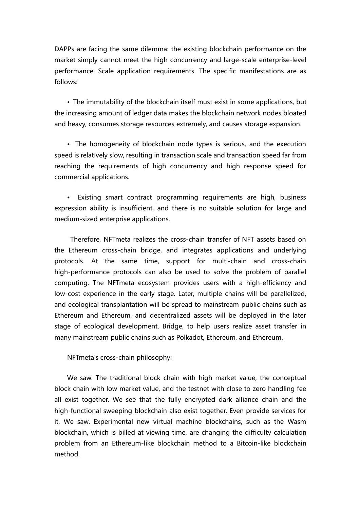DAPPs are facing the same dilemma: the existing blockchain performance on the market simply cannot meet the high concurrency and large-scale enterprise-level performance. Scale application requirements.The specific manifestations are as follows:

• The immutability of the blockchain itself must exist in some applications, but the increasing amount of ledger data makes the blockchain network nodes bloated and heavy, consumes storage resources extremely, and causes storage expansion.

• The homogeneity of blockchain node types is serious, and the execution speed is relatively slow, resulting in transaction scale and transaction speed far from reaching the requirements of high concurrency and high response speed for commercial applications.

Existing smart contract programming requirements are high, business expression ability is insufficient, and there is no suitable solution for large and medium-sized enterprise applications.

Therefore, NFTmeta realizes the cross-chain transfer of NFT assets based on the Ethereum cross-chain bridge, and integrates applications and underlying protocols. At the same time, support for multi-chain and cross-chain high-performance protocols can also be used to solve the problem of parallel computing. The NFTmeta ecosystem provides users with a high-efficiency and low-cost experience in the early stage. Later, multiple chains will be parallelized, and ecological transplantation will be spread to mainstream public chains such as Ethereum and Ethereum, and decentralized assetswill be deployed in the later stage of ecological development. Bridge, to help users realize asset transfer in many mainstream public chains such as Polkadot, Ethereum, and Ethereum.

NFTmeta's cross-chain philosophy:

We saw. The traditional block chain with high market value, the conceptual block chain with low market value, and the testnet with close to zero handling fee all exist together. We see that the fully encrypted dark alliance chain and the high-functional sweeping blockchain also exist together. Even provide services for it. We saw. Experimental new virtual machine blockchains, such as the Wasm blockchain, which is billed at viewing time, are changing the difficulty calculation problem from an Ethereum-like blockchain method to a Bitcoin-like blockchain method.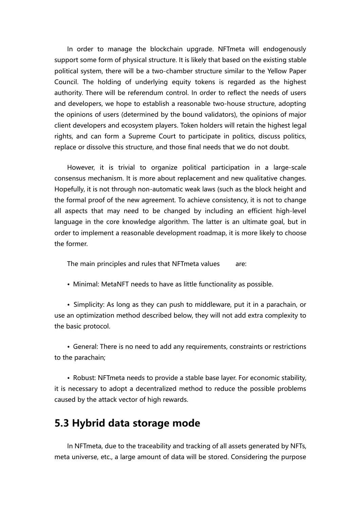In order to manage the blockchain upgrade. NFTmeta will endogenously support some form of physical structure. It is likely that based on the existing stable political system, there will be a two-chamber structure similar to the Yellow Paper Council. The holding of underlying equity tokens is regarded as the highest authority. There will be referendum control. In order to reflect the needs of users and developers, we hope to establish a reasonable two-house structure, adopting the opinions of users (determined by the bound validators), the opinions of major client developers and ecosystem players. Token holders will retain the highest legal rights, and can form a Supreme Court to participate in politics, discuss politics, replace or dissolve this structure, and those final needs that we do not doubt.

However, it is trivial to organize political participation in a large-scale consensus mechanism. It is more about replacement and new qualitative changes. Hopefully, it is not through non-automatic weak laws (such as the block height and the formal proof of the new agreement. To achieve consistency, it is not to change all aspects that may need to be changed by including an efficient high-level language in the core knowledge algorithm. The latter is an ultimate goal, but in order to implement a reasonable development roadmap, it is more likely to choose the former.

The main principles and rules that NFTmeta values are:

• Minimal: MetaNFT needs to have as little functionality as possible.

• Simplicity: As long as they can push to middleware, put it in a parachain, or use an optimization method described below, they will not add extra complexity to the basic protocol.

• General: There is no need to add any requirements, constraints or restrictions to the parachain;

• Robust: NFTmeta needs to provide a stable base layer. For economic stability, it is necessary to adopt a decentralized method to reduce the possible problems caused by the attack vector of high rewards.

### **5.3 Hybrid data storage mode**

In NFTmeta, due to the traceability and tracking of all assets generated by NFTs, meta universe, etc., a large amount of data will be stored. Considering the purpose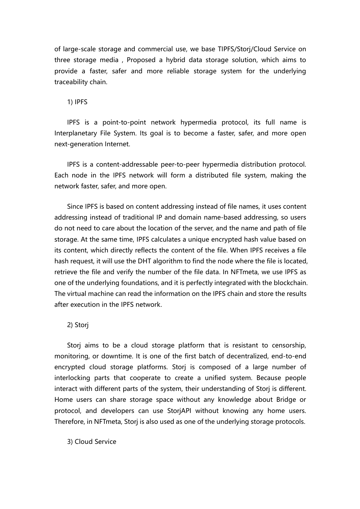of large-scale storage and commercial use, we base TIPFS/Storj/Cloud Service on three storage media , Proposed a hybrid data storage solution, which aims to provide a faster, safer and more reliable storage system for the underlying traceability chain.

1) IPFS

IPFS is a point-to-point network hypermedia protocol, its full name is Interplanetary File System. Its goal is to become a faster, safer, and more open next-generation Internet.

IPFS is a content-addressable peer-to-peer hypermedia distribution protocol. Each node in the IPFS network will form a distributed file system, making the network faster, safer, and more open.

Since IPFS is based on content addressing instead of file names, it uses content addressing instead of traditional IP and domain name-based addressing, so users do not need to care about the location of the server, and the name and path of file storage. At the same time, IPFS calculates a unique encrypted hash value based on its content, which directly reflects the content of the file. When IPFS receives a file hash request, it will use the DHT algorithm to find the node where the file is located, retrieve the file and verify the number of the file data. In NFTmeta, we use IPFS as one of the underlying foundations, and it is perfectly integrated with the blockchain. The virtual machine can read the information on the IPFS chain and store the results after execution in the IPFS network.

2) Storj

Storj aims to be a cloud storage platform that is resistant to censorship, monitoring, or downtime. It is one of the first batch of decentralized, end-to-end encrypted cloud storage platforms. Storj is composed of a large number of interlocking parts that cooperate to create a unified system. Because people interact with different parts of the system, their understanding of Storj is different. Home users can share storage space without any knowledge about Bridge or protocol, and developers can use StorjAPI without knowing any home users. Therefore, in NFTmeta, Storj is also used as one of the underlying storage protocols.

3) Cloud Service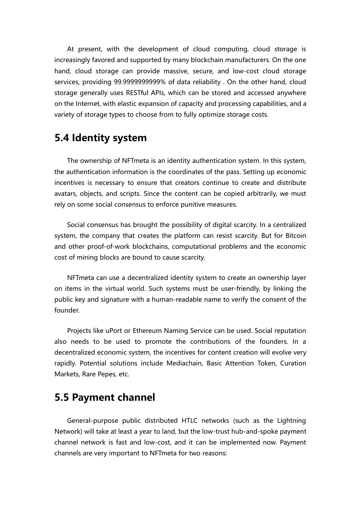At present, with the development of cloud computing, cloud storage is increasingly favored and supported by many blockchain manufacturers. On the one hand, cloud storage can provide massive, secure, and low-cost cloud storage services, providing 99.9999999999% of data reliability . On the other hand, cloud storage generally uses RESTful APIs, which can be stored and accessed anywhere on the Internet, with elastic expansion of capacity and processing capabilities, and a variety of storage types to choose from to fully optimize storage costs.

#### <span id="page-35-0"></span>**5.4 Identity system**

The ownership of NFTmeta is an identity authentication system. In this system, the authentication information is the coordinates of the pass. Setting up economic incentives is necessary to ensure that creators continue to create and distribute avatars, objects, and scripts. Since the content can be copied arbitrarily, we must rely on some social consensus to enforce punitive measures.

Social consensus has brought the possibility of digital scarcity. In a centralized system, the company that creates the platform can resist scarcity. But for Bitcoin and other proof-of-work blockchains, computational problems and the economic cost of mining blocks are bound to cause scarcity.

NFTmeta can use a decentralized identity system to create an ownership layer on items in the virtual world. Such systems must be user-friendly, by linking the public key and signature with a human-readable name to verify the consent of the founder.

Projects like uPort or Ethereum Naming Service can be used. Social reputation also needs to be used to promote the contributions of the founders. In a decentralized economic system, the incentives for content creation will evolve very rapidly. Potential solutions include Mediachain, Basic Attention Token, Curation Markets, Rare Pepes, etc.

#### **5.5 Payment channel**

General-purpose public distributed HTLC networks (such as the Lightning Network) will take at least a year to land, but the low-trust hub-and-spoke payment channel network is fast and low-cost, and it can be implemented now. Payment channels are very important to NFTmeta for two reasons: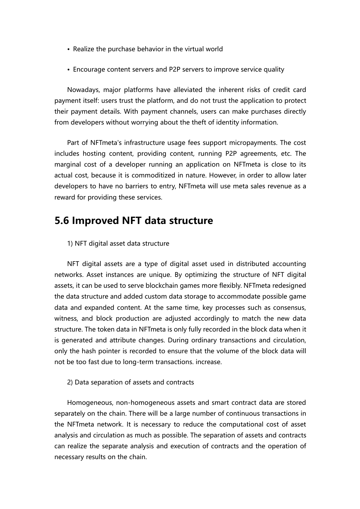- Realize the purchase behavior in the virtual world
- Encourage content servers and P2P servers to improve service quality

Nowadays, major platforms have alleviated the inherent risks of credit card payment itself: users trust the platform, and do not trust the application to protect their payment details. With payment channels, users can make purchases directly from developers without worrying about the theft of identity information.

Part of NFTmeta's infrastructure usage fees support micropayments. The cost includes hosting content, providing content, running P2P agreements, etc. The marginal cost of a developer running an application on NFTmeta is close to its actual cost, because it is commoditized in nature. However, in order to allow later developers to have no barriers to entry, NFTmeta will use meta sales revenue as a reward for providing these services.

#### **5.6 Improved NFT data structure**

#### 1) NFT digital asset data structure

NFT digital assets are a type of digital asset used in distributed accounting networks. Asset instances are unique. By optimizing the structure of NFT digital assets, it can be used to serve blockchain games more flexibly. NFTmeta redesigned the data structure and added custom data storage to accommodate possible game data and expanded content. At the same time, key processes such as consensus, witness, and block production are adjusted accordingly to match the new data structure. The token data in NFTmeta is only fully recorded in the block data when it is generated and attribute changes. During ordinary transactions and circulation, only the hash pointer is recorded to ensure that the volume of the block data will not be too fast due to long-term transactions. increase.

#### 2) Data separation of assets and contracts

Homogeneous, non-homogeneous assets and smart contract data are stored separately on the chain. There will be a large number of continuous transactions in the NFTmeta network. It is necessary to reduce the computational cost of asset analysis and circulation as much as possible. The separation of assets and contracts can realize the separate analysis and execution of contracts and the operation of necessary results on the chain.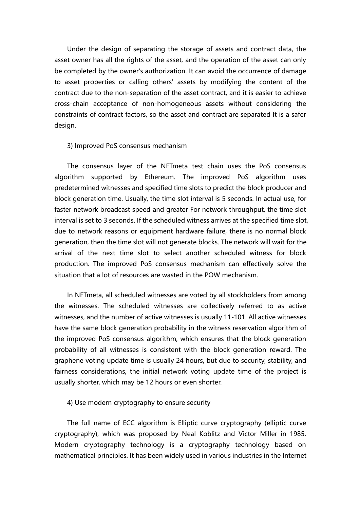Under the design of separating the storage of assets and contract data, the asset owner has all the rights of the asset, and the operation of the asset can only be completed by the owner's authorization. It can avoid the occurrence of damage to asset properties or calling others' assets by modifying the content of the contract due to the non-separation of the asset contract, and it is easier to achieve cross-chain acceptance of non-homogeneous assets without considering the constraints of contract factors, so the asset and contract are separated It is a safer design.

#### 3) Improved PoS consensus mechanism

The consensus layer of the NFTmeta test chain uses the PoS consensus algorithm supported by Ethereum. The improved PoS algorithm uses predetermined witnesses and specified time slots to predict the block producer and block generation time. Usually, the time slot interval is 5 seconds. In actual use, for faster network broadcast speed and greater For network throughput, the time slot interval is set to 3 seconds. If the scheduled witness arrives at the specified time slot, due to network reasons or equipment hardware failure, there is no normal block generation, then the time slot will not generate blocks. The network will wait for the arrival of the next time slot to select another scheduled witness for block production. The improved PoS consensus mechanism can effectively solve the situation that a lot of resources are wasted in the POW mechanism.

In NFTmeta, all scheduled witnesses are voted by all stockholders from among the witnesses. The scheduled witnesses are collectively referred to as active witnesses, and the number of active witnesses is usually 11-101. All active witnesses have the same block generation probability in the witness reservation algorithm of the improved PoS consensus algorithm, which ensures that the block generation probability of all witnesses is consistent with the block generation reward. The graphene voting update time is usually 24 hours, but due to security, stability, and fairness considerations, the initial network voting update time of the project is usually shorter, which may be 12 hours or even shorter.

4) Use modern cryptography to ensure security

The full name of ECC algorithm is Elliptic curve cryptography (elliptic curve cryptography), which was proposed by Neal Koblitz and Victor Miller in 1985. Modern cryptography technology is a cryptography technology based on mathematical principles. It has been widely used in various industries in the Internet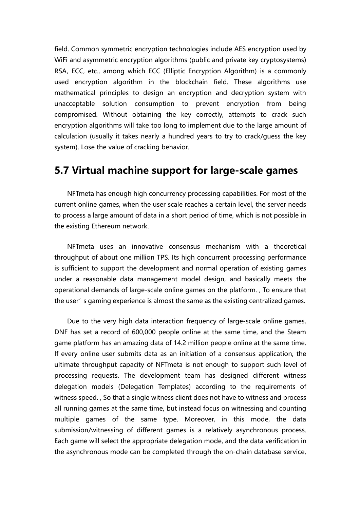field. Common symmetric encryption technologies include AES encryption used by WiFi and asymmetric encryption algorithms (public and private key cryptosystems) RSA, ECC, etc., among which ECC (Elliptic Encryption Algorithm) is a commonly used encryption algorithm in the blockchain field. These algorithms use mathematical principles to design an encryption and decryption system with unacceptable solution consumption to prevent encryption from being compromised. Without obtaining the key correctly, attempts to crack such encryption algorithms will take too long to implement due to the large amount of calculation (usually it takes nearly a hundred years to try to crack/guess the key system). Lose the value of cracking behavior.

#### **5.7 Virtual machine support for large-scale games**

NFTmeta has enough high concurrency processing capabilities. For most of the current online games, when the user scale reaches a certain level, the server needs to process a large amount of data in a short period of time, which is not possible in the existing Ethereum network.

NFTmeta uses an innovative consensus mechanism with a theoretical throughput of about one million TPS. Its high concurrent processing performance is sufficient to support the development and normal operation of existing games under a reasonable data management model design, and basically meets the operational demands of large-scale online games on the platform., To ensure that the user's gaming experience is almost the same as the existing centralized games.

Due to the very high data interaction frequency of large-scale online games, DNF has set a record of 600,000 people online at the same time, and the Steam game platform has an amazing data of 14.2 million people online at the same time. If every online user submits data as an initiation of a consensus application, the ultimate throughput capacity of NFTmeta is not enough to support such level of processing requests. The development team has designed different witness delegation models (Delegation Templates) according to the requirements of witness speed. , So that a single witness client does not have to witness and process all running games at the same time, but instead focus on witnessing and counting multiple games of the same type. Moreover, in this mode, the data submission/witnessing of different games is a relatively asynchronous process. Each game will select the appropriate delegation mode, and the data verification in the asynchronous mode can be completed through the on-chain database service,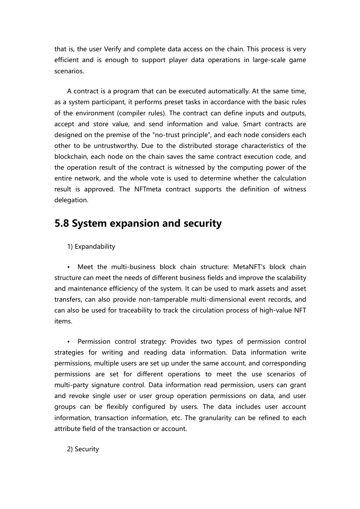that is, the user Verify and complete data access on the chain. This process is very efficient and is enough to support player data operations in large-scale game scenarios.

A contract is a program that can be executed automatically. At the same time, as a system participant, it performs preset tasks in accordance with the basic rules of the environment (compiler rules). The contract can define inputs and outputs, accept and store value, and send information and value. Smart contracts are designed on the premise of the "no-trust principle", and each node considers each other to be untrustworthy. Due to the distributed storage characteristics of the blockchain, each node on the chain saves the same contract execution code, and the operation result of the contract is witnessed by the computing power of the entire network, and the whole vote is used to determine whether the calculation result is approved. The NFTmeta contract supports the definition of witness delegation.

### **5.8 System expansion and security**

1) Expandability

Meet the multi-business block chain structure: MetaNFT's block chain structure can meet the needs of different business fields and improve the scalability and maintenance efficiency of the system. It can be used to mark assets and asset transfers, can also provide non-tamperable multi-dimensional event records, and can also be used for traceability to track the circulation process of high-value NFT items.

Permission control strategy: Provides two types of permission control strategies for writing and reading data information. Data information write permissions, multiple users are set up under the same account, and corresponding permissions are set for different operations to meet the use scenarios of multi-party signature control. Data information read permission, users can grant and revoke single user or user group operation permissions on data, and user groups can be flexibly configured by users. The data includes user account information, transaction information, etc. The granularity can be refined to each attribute field of the transaction or account.

2) Security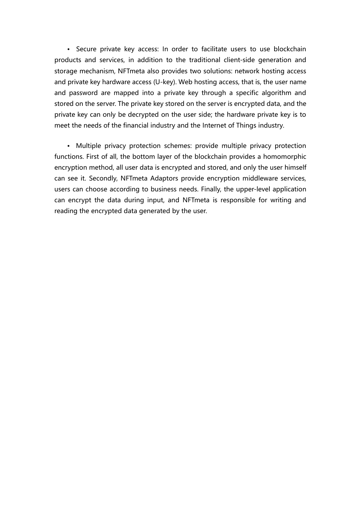• Secure private key access: In order to facilitate users to use blockchain products and services, in addition to the traditional client-side generation and storage mechanism, NFTmeta also provides two solutions: network hosting access and private key hardware access (U-key). Web hosting access, that is, the user name and password are mapped into a private key through a specific algorithm and stored on the server. The private key stored on the server is encrypted data, and the private key can only be decrypted on the user side; the hardware private key is to meet the needs of the financial industry and the Internet of Things industry.

• Multiple privacy protection schemes: provide multiple privacy protection functions. First of all, the bottom layer of the blockchain provides a homomorphic encryption method, all user data is encrypted and stored, and only the user himself can see it. Secondly, NFTmeta Adaptors provide encryption middleware services, users can choose according to business needs. Finally, the upper-level application can encrypt the data during input, and NFTmeta is responsible for writing and reading the encrypted data generated by the user.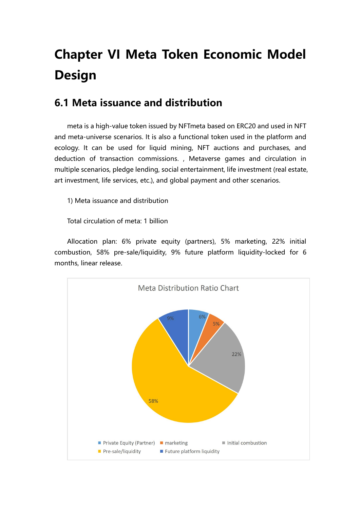# **Chapter VI Meta Token Economic Model Design**

### <span id="page-41-0"></span>**6.1 Meta issuance and distribution**

meta is a high-value token issued by NFTmeta based on ERC20 and used in NFT and meta-universe scenarios. It is also a functional token used in the platform and ecology. It can be used for liquid mining, NFT auctions and purchases, and deduction of transaction commissions., Metaverse games and circulation in multiple scenarios, pledge lending, social entertainment, life investment (real estate, art investment, life services, etc.), and global payment and other scenarios.

1) Meta issuance and distribution

Total circulation of meta: 1 billion

Allocation plan: 6% private equity (partners), 5% marketing, 22% initial combustion, 58% pre-sale/liquidity, 9% future platform liquidity-locked for 6 months, linear release.

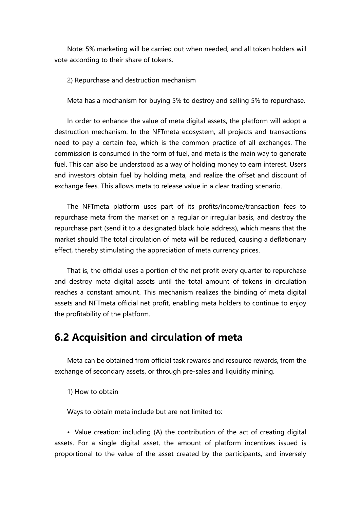Note: 5% marketing will be carried out when needed, and all token holders will vote according to their share of tokens.

2) Repurchase and destruction mechanism

Meta has a mechanism for buying 5% to destroy and selling 5% to repurchase.

In order to enhance the value of meta digital assets, the platform will adopt a destruction mechanism. In the NFTmeta ecosystem, all projects and transactions need to pay a certain fee, which is the common practice of all exchanges. The commission is consumed in the form of fuel, and meta is the main way to generate fuel. This can also be understood as a way of holding money to earn interest. Users and investors obtain fuel by holding meta, and realize the offset and discount of exchange fees. This allows meta to release value in a clear trading scenario.

The NFTmeta platform uses part of its profits/income/transaction fees to repurchase meta from the market on a regular or irregular basis, and destroy the repurchase part (send it to a designated black hole address), which means that the market should The total circulation of meta will be reduced, causing a deflationary effect, thereby stimulating the appreciation of meta currency prices.

That is, the official uses a portion of the net profit every quarter to repurchase and destroy meta digital assets until the total amount of tokens in circulation reaches a constant amount. This mechanism realizes the binding of meta digital assets and NFTmeta official net profit, enabling meta holders to continue to enjoy the profitability of the platform.

### **6.2 Acquisition and circulation of meta**

Meta can be obtained from official task rewards and resource rewards, from the exchange of secondary assets, or through pre-sales and liquidity mining.

1) How to obtain

Ways to obtain meta include but are not limited to:

• Value creation: including (A) the contribution of the act of creating digital assets. For a single digital asset, the amount of platform incentives issued is proportional to the value of the asset created by the participants, and inversely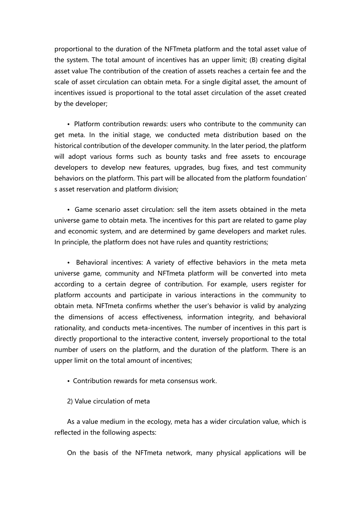proportional to the duration of the NFTmeta platform and the total asset value of the system. The total amount of incentives has an upper limit;(B) creating digital asset value The contribution of the creation of assets reaches a certain fee and the scale of asset circulation can obtain meta. For a single digital asset, the amount of incentives issued is proportional to the total asset circulation of the asset created by the developer;

• Platform contribution rewards: users who contribute to the community can get meta. In the initial stage, we conducted meta distribution based on the historical contribution of the developer community. In the later period, the platform will adopt various forms such as bounty tasks and free assets to encourage developers to develop new features, upgrades, bug fixes, and test community behaviors on the platform. This part will be allocated from the platform foundation' s asset reservation and platform division;

• Game scenario asset circulation: sell the item assets obtained in the meta universe game to obtain meta. The incentives for this part are related to game play and economic system, and are determined by game developers and market rules. In principle, the platform does not have rules and quantity restrictions;

• Behavioral incentives: A variety of effective behaviors in the meta meta universe game, community and NFTmeta platform will be converted into meta according to a certain degree of contribution. For example, users register for platform accounts and participate in various interactions in the community to obtain meta. NFTmeta confirms whether the user's behavior is valid by analyzing the dimensions of access effectiveness, information integrity, and behavioral rationality, and conducts meta-incentives. The number of incentives in this part is directly proportional to the interactive content, inversely proportional to the total number of users on the platform, and the duration of the platform. There is an upper limit on the total amount of incentives;

- Contribution rewards for meta consensus work.
- 2) Value circulation of meta

As a value medium in the ecology, meta has a wider circulation value, which is reflected in the following aspects:

On the basis of the NFTmeta network, many physical applications will be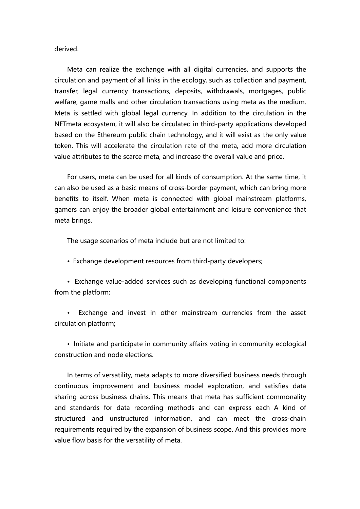derived.

Meta can realize the exchange with all digital currencies, and supports the circulation and payment of all links in the ecology, such as collection and payment, transfer, legal currency transactions, deposits, withdrawals, mortgages, public welfare, game malls and other circulation transactions using meta as the medium. Meta is settled with global legal currency. In addition to the circulation in the NFTmeta ecosystem, it willalso be circulated in third-party applications developed based on the Ethereum public chain technology, and it will exist as the only value token. This will accelerate the circulation rate of the meta, add more circulation value attributes to the scarce meta, and increase the overall value and price.

For users, meta can be used for all kinds of consumption. At the same time, it can also be used as a basic means of cross-border payment, which can bring more benefits to itself. When meta is connected with global mainstream platforms, gamers can enjoy the broader global entertainment and leisure convenience that meta brings.

The usage scenarios of meta include but are not limited to:

• Exchange development resources from third-party developers;

• Exchange value-added services such as developing functional components from the platform;

Exchange and invest in other mainstream currencies from the asset circulation platform;

• Initiate and participate in community affairs voting in community ecological construction and node elections.<br>In terms of versatility, meta adapts to more diversified business needs through

continuous improvement and business model exploration, and satisfies data sharing across business chains. This means that meta has sufficient commonality and standards for data recording methods and can express each A kind of structured and unstructured information, and can meet the cross-chain requirements required by the expansion of business scope. And this provides more value flow basis for the versatility of meta.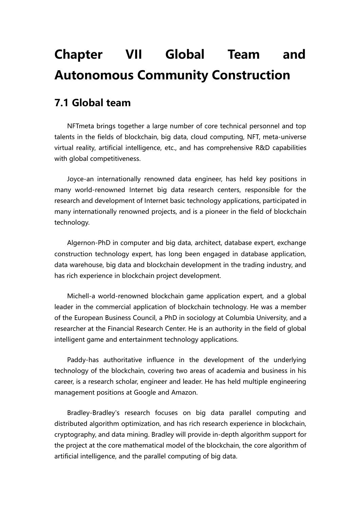## **Chapter VII Global Team and Autonomous Community Construction**

#### <span id="page-45-0"></span>**7.1 Global team**

NFTmeta brings together a large number of core technical personnel and top talents in the fields of blockchain, big data, cloud computing, NFT, meta-universe virtual reality, artificial intelligence, etc., and has comprehensive R&D capabilities with global competitiveness.

Joyce-an internationally renowned data engineer, has held key positions in many world-renowned Internet big data research centers, responsible for the research and development of Internet basic technology applications, participated in many internationally renowned projects, and is a pioneer in the field of blockchain technology.

Algernon-PhD in computer and big data, architect, database expert, exchange construction technology expert, has long been engaged in database application, data warehouse, big data and blockchain development in the trading industry, and has rich experience in blockchain project development.

Michell-a world-renowned blockchain game application expert, and a global leader in the commercial application of blockchain technology. He was a member of the European Business Council, a PhD in sociology at Columbia University, and a researcher at the Financial Research Center. He is an authority in the field of global intelligent game and entertainment technology applications.

Paddy-has authoritative influence in the development of the underlying technology of the blockchain, covering two areas of academia and business in his career, is a research scholar, engineer and leader. He hasheld multiple engineering management positions at Google and Amazon.

Bradley-Bradley's research focuses on big data parallel computing and distributed algorithm optimization, and has rich research experience in blockchain, cryptography, and data mining. Bradley will provide in-depth algorithm support for the project at the core mathematical model of the blockchain, the core algorithm of artificial intelligence, and the parallel computing of big data.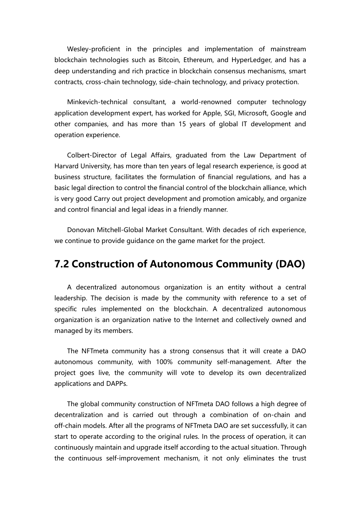Wesley-proficient in the principles and implementation of mainstream blockchain technologies such as Bitcoin, Ethereum, and HyperLedger, and has a deep understanding and rich practice in blockchain consensus mechanisms, smart

contracts, cross-chain technology, side-chain technology, and privacy protection.<br>Minkevich-technical consultant, a world-renowned computer technology application development expert, has worked for Apple, SGI, Microsoft, Google and other companies, and has more than 15 years of global IT development and operation experience.

Colbert-Director of Legal Affairs, graduated from the Law Department of Harvard University, has more than ten years of legal research experience, is good at business structure, facilitates the formulation of financial regulations, and has a basic legal direction to control the financial control of the blockchain alliance, which is very good Carry out project development and promotion amicably, and organize and control financial and legal ideas in a friendly manner.

Donovan Mitchell-Global Market Consultant. With decades of rich experience, we continue to provide quidance on the game market for the project.

### **7.2 Construction of Autonomous Community (DAO)**

A decentralized autonomous organization is an entity without a central leadership. The decision is made by the community with reference to a set of specific rules implemented on the blockchain. A decentralized autonomous organization is an organization native to the Internet and collectively owned and managed by its members.

The NFTmeta community has a strong consensus that it will create a DAO autonomous community, with 100% community self-management. After the project goes live, the community will vote to develop its own decentralized applications and DAPPs.

The global community construction of NFTmeta DAO follows a high degree of decentralization and is carried out through a combination of on-chain and off-chain models. After all the programs of NFTmeta DAO are set successfully, it can start to operate according to the original rules. In the process of operation, it can continuously maintain and upgrade itself according to the actual situation. Through the continuous self-improvement mechanism, it not only eliminates the trust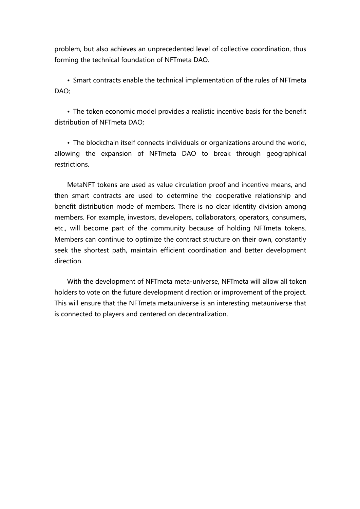problem, but also achieves an unprecedented level of collective coordination, thus forming the technical foundation of NFTmeta DAO.

• Smart contracts enable the technical implementation of the rules of NFTmeta DAO;<br>• The token economic model provides a realistic incentive basis for the benefit<br>• The token economic model provides a realistic incentive basis for the benefit

distribution of NFTmeta DAO;

• The blockchain itself connects individuals or organizations around the world, allowing the expansion of NFTmeta DAO to break through geographical restrictions.

MetaNFT tokens are used as value circulation proof and incentive means, and then smart contracts are used to determine the cooperative relationship and benefit distribution mode of members. There is no clear identity division among members. For example, investors, developers, collaborators, operators, consumers, etc., will become part of the community because of holding NFTmeta tokens. Members can continue to optimize the contract structure on their own, constantly seek the shortest path, maintain efficient coordination and better development direction.

<span id="page-47-0"></span>With the development of NFTmeta meta-universe, NFTmeta will allow all token holders to vote on the future development direction or improvement of the project. This will ensure that the NFTmeta metauniverse is an interesting metauniverse that is connected to players and centered on decentralization.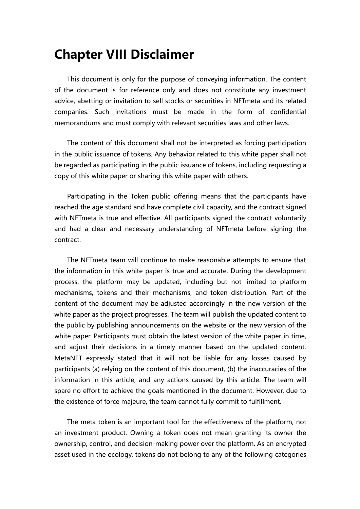## **Chapter VIII Disclaimer**

This document is only for the purpose of conveying information. The content of the document is for reference only and does not constitute any investment advice, abetting or invitation to sell stocks or securities in NFTmeta and its related companies. Such invitations must be made in the form of confidential memorandums and must comply with relevant securities laws and other laws.

The content of this document shall not be interpreted as forcing participation in the public issuance of tokens. Any behavior related to thiswhite paper shall not be regarded as participating in the public issuance of tokens, including requesting a copy of this white paper or sharing this white paper with others.

Participating in the Token public offering means that the participants have reached the age standard and have complete civil capacity, and the contract signed with NFTmeta is true and effective. All participants signed the contract voluntarily and had a clear and necessary understanding of NFTmeta before signing the contract.

The NFTmeta team will continue to make reasonable attempts to ensure that the information in this white paper is true and accurate. During the development process, the platform may be updated, including but not limited to platform mechanisms, tokens and their mechanisms, and token distribution. Part of the content of the document may be adjusted accordingly in the new version of the white paper as the project progresses. The team will publish the updated content to the public by publishing announcements on the website or the new version of the white paper. Participants must obtain the latest version of the white paper in time, and adjust their decisions in a timely manner based on the updated content. MetaNFT expressly stated that it will not be liable for any losses caused by participants (a) relying on the content of this document, (b) the inaccuracies of the information in this article, and any actions caused by this article. The team will spare no effort to achieve the goals mentioned in the document. However, due to the existence of force majeure, the team cannot fully commit to fulfillment.

The meta token is an important tool for the effectiveness of the platform, not an investment product. Owning a token does not mean granting its owner the ownership, control, and decision-making power over the platform. As an encrypted asset used in the ecology, tokens do not belong to anyof the following categories